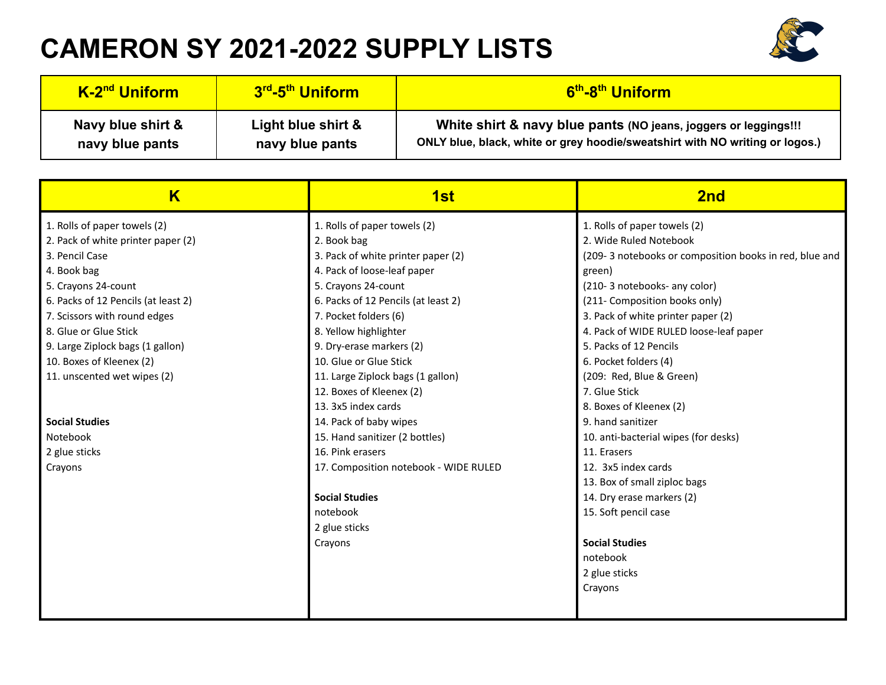## **CAMERON SY 2021-2022 SUPPLY LISTS**



| K-2 <sup>nd</sup> Uniform | 3 <sup>rd</sup> -5 <sup>th</sup> Uniform | 6 <sup>th</sup> -8 <sup>th</sup> Uniform                                     |
|---------------------------|------------------------------------------|------------------------------------------------------------------------------|
| Navy blue shirt &         | Light blue shirt &                       | White shirt & navy blue pants (NO jeans, joggers or leggings!!!              |
| navy blue pants           | navy blue pants                          | ONLY blue, black, white or grey hoodie/sweatshirt with NO writing or logos.) |

| $\overline{\mathsf{K}}$             | 1st                                   | 2nd                                                    |
|-------------------------------------|---------------------------------------|--------------------------------------------------------|
| 1. Rolls of paper towels (2)        | 1. Rolls of paper towels (2)          | 1. Rolls of paper towels (2)                           |
| 2. Pack of white printer paper (2)  | 2. Book bag                           | 2. Wide Ruled Notebook                                 |
| 3. Pencil Case                      | 3. Pack of white printer paper (2)    | (209-3 notebooks or composition books in red, blue and |
| 4. Book bag                         | 4. Pack of loose-leaf paper           | green)                                                 |
| 5. Crayons 24-count                 | 5. Crayons 24-count                   | (210-3 notebooks-any color)                            |
| 6. Packs of 12 Pencils (at least 2) | 6. Packs of 12 Pencils (at least 2)   | (211- Composition books only)                          |
| 7. Scissors with round edges        | 7. Pocket folders (6)                 | 3. Pack of white printer paper (2)                     |
| 8. Glue or Glue Stick               | 8. Yellow highlighter                 | 4. Pack of WIDE RULED loose-leaf paper                 |
| 9. Large Ziplock bags (1 gallon)    | 9. Dry-erase markers (2)              | 5. Packs of 12 Pencils                                 |
| 10. Boxes of Kleenex (2)            | 10. Glue or Glue Stick                | 6. Pocket folders (4)                                  |
| 11. unscented wet wipes (2)         | 11. Large Ziplock bags (1 gallon)     | (209: Red, Blue & Green)                               |
|                                     | 12. Boxes of Kleenex (2)              | 7. Glue Stick                                          |
|                                     | 13. 3x5 index cards                   | 8. Boxes of Kleenex (2)                                |
| <b>Social Studies</b>               | 14. Pack of baby wipes                | 9. hand sanitizer                                      |
| Notebook                            | 15. Hand sanitizer (2 bottles)        | 10. anti-bacterial wipes (for desks)                   |
| 2 glue sticks                       | 16. Pink erasers                      | 11. Erasers                                            |
| Crayons                             | 17. Composition notebook - WIDE RULED | 12. 3x5 index cards                                    |
|                                     |                                       | 13. Box of small ziploc bags                           |
|                                     | <b>Social Studies</b>                 | 14. Dry erase markers (2)                              |
|                                     | notebook                              | 15. Soft pencil case                                   |
|                                     | 2 glue sticks                         |                                                        |
|                                     | Crayons                               | <b>Social Studies</b>                                  |
|                                     |                                       | notebook                                               |
|                                     |                                       | 2 glue sticks                                          |
|                                     |                                       | Crayons                                                |
|                                     |                                       |                                                        |
|                                     |                                       |                                                        |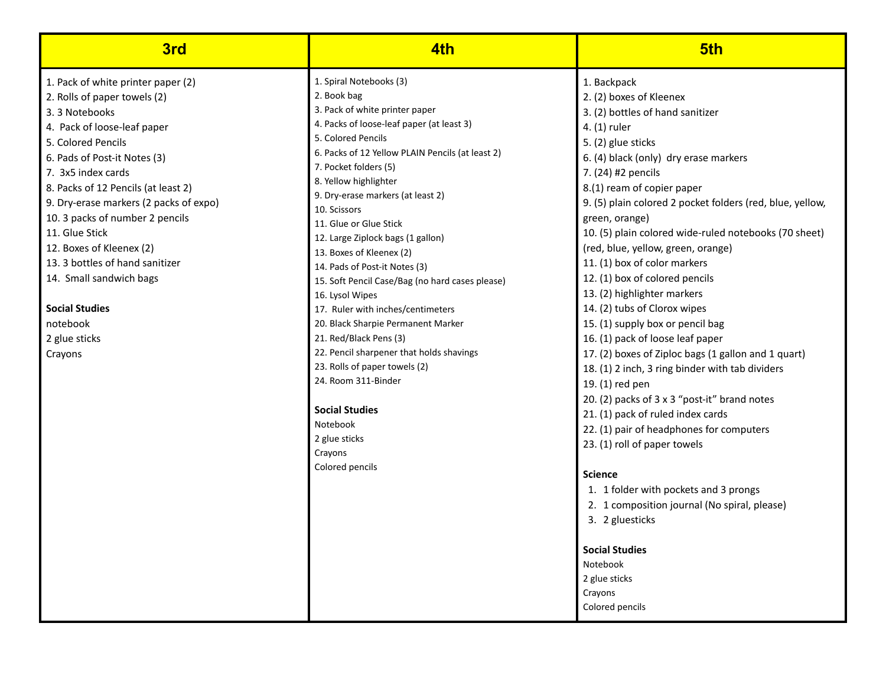| 3rd                                                                                                                                                                                                                                                                                                                                                                                                                                                                                             | 4th                                                                                                                                                                                                                                                                                                                                                                                                                                                                                                                                                                                                                                                                                                                                                                                                   | 5th                                                                                                                                                                                                                                                                                                                                                                                                                                                                                                                                                                                                                                                                                                                                                                                                                                                                                                                                                                                                                                                                                                                  |
|-------------------------------------------------------------------------------------------------------------------------------------------------------------------------------------------------------------------------------------------------------------------------------------------------------------------------------------------------------------------------------------------------------------------------------------------------------------------------------------------------|-------------------------------------------------------------------------------------------------------------------------------------------------------------------------------------------------------------------------------------------------------------------------------------------------------------------------------------------------------------------------------------------------------------------------------------------------------------------------------------------------------------------------------------------------------------------------------------------------------------------------------------------------------------------------------------------------------------------------------------------------------------------------------------------------------|----------------------------------------------------------------------------------------------------------------------------------------------------------------------------------------------------------------------------------------------------------------------------------------------------------------------------------------------------------------------------------------------------------------------------------------------------------------------------------------------------------------------------------------------------------------------------------------------------------------------------------------------------------------------------------------------------------------------------------------------------------------------------------------------------------------------------------------------------------------------------------------------------------------------------------------------------------------------------------------------------------------------------------------------------------------------------------------------------------------------|
| 1. Pack of white printer paper (2)<br>2. Rolls of paper towels (2)<br>3.3 Notebooks<br>4. Pack of loose-leaf paper<br>5. Colored Pencils<br>6. Pads of Post-it Notes (3)<br>7. 3x5 index cards<br>8. Packs of 12 Pencils (at least 2)<br>9. Dry-erase markers (2 packs of expo)<br>10. 3 packs of number 2 pencils<br>11. Glue Stick<br>12. Boxes of Kleenex (2)<br>13. 3 bottles of hand sanitizer<br>14. Small sandwich bags<br><b>Social Studies</b><br>notebook<br>2 glue sticks<br>Crayons | 1. Spiral Notebooks (3)<br>2. Book bag<br>3. Pack of white printer paper<br>4. Packs of loose-leaf paper (at least 3)<br>5. Colored Pencils<br>6. Packs of 12 Yellow PLAIN Pencils (at least 2)<br>7. Pocket folders (5)<br>8. Yellow highlighter<br>9. Dry-erase markers (at least 2)<br>10. Scissors<br>11. Glue or Glue Stick<br>12. Large Ziplock bags (1 gallon)<br>13. Boxes of Kleenex (2)<br>14. Pads of Post-it Notes (3)<br>15. Soft Pencil Case/Bag (no hard cases please)<br>16. Lysol Wipes<br>17. Ruler with inches/centimeters<br>20. Black Sharpie Permanent Marker<br>21. Red/Black Pens (3)<br>22. Pencil sharpener that holds shavings<br>23. Rolls of paper towels (2)<br>24. Room 311-Binder<br><b>Social Studies</b><br>Notebook<br>2 glue sticks<br>Crayons<br>Colored pencils | 1. Backpack<br>2. (2) boxes of Kleenex<br>3. (2) bottles of hand sanitizer<br>4. (1) ruler<br>5. (2) glue sticks<br>6. (4) black (only) dry erase markers<br>7. (24) #2 pencils<br>8.(1) ream of copier paper<br>9. (5) plain colored 2 pocket folders (red, blue, yellow,<br>green, orange)<br>10. (5) plain colored wide-ruled notebooks (70 sheet)<br>(red, blue, yellow, green, orange)<br>11. (1) box of color markers<br>12. (1) box of colored pencils<br>13. (2) highlighter markers<br>14. (2) tubs of Clorox wipes<br>15. (1) supply box or pencil bag<br>16. (1) pack of loose leaf paper<br>17. (2) boxes of Ziploc bags (1 gallon and 1 quart)<br>18. (1) 2 inch, 3 ring binder with tab dividers<br>19. (1) red pen<br>20. (2) packs of 3 x 3 "post-it" brand notes<br>21. (1) pack of ruled index cards<br>22. (1) pair of headphones for computers<br>23. (1) roll of paper towels<br><b>Science</b><br>1. 1 folder with pockets and 3 prongs<br>2. 1 composition journal (No spiral, please)<br>3. 2 gluesticks<br><b>Social Studies</b><br>Notebook<br>2 glue sticks<br>Crayons<br>Colored pencils |